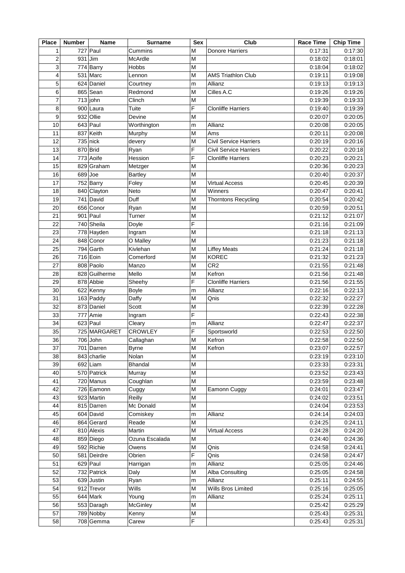| <b>Place</b>   | <b>Number</b> | <b>Name</b>   | <b>Surname</b>  | <b>Sex</b> | Club                          | <b>Race Time</b> | <b>Chip Time</b> |
|----------------|---------------|---------------|-----------------|------------|-------------------------------|------------------|------------------|
| $\mathbf 1$    |               | 727 Paul      | Cummins         | M          | <b>Donore Harriers</b>        | 0:17:31          | 0:17:30          |
| $\overline{c}$ |               | $931$ Jim     | McArdle         | M          |                               | 0:18:02          | 0:18:01          |
| 3              |               | 774 Barry     | Hobbs           | M          |                               | 0:18:04          | 0:18:02          |
| 4              |               | $531$ Marc    | Lennon          | M          | AMS Triathlon Club            | 0:19:11          | 0:19:08          |
| 5              |               | 624 Daniel    | Courtney        | m          | Allianz                       | 0:19:13          | 0:19:13          |
| 6              |               | 865 Sean      | Redmond         | M          | Cilles A.C                    | 0:19:26          | 0:19:26          |
| $\overline{7}$ |               | $713$ john    | Clinch          | M          |                               | 0:19:39          | 0:19:33          |
| 8              |               | $900$ Laura   | Tuite           | F          | <b>Clonliffe Harriers</b>     | 0:19:40          | 0:19:39          |
| 9              |               | 932 Ollie     | Devine          | M          |                               | 0:20:07          | 0:20:05          |
| 10             |               | $643$ Paul    |                 |            | Allianz                       | 0:20:08          | 0:20:05          |
|                |               |               | Worthington     | m          |                               |                  |                  |
| 11             |               | 837 Keith     | Murphy          | M          | Ams                           | 0:20:11          | 0:20:08          |
| 12             |               | $735$ nick    | devery          | M          | <b>Civil Service Harriers</b> | 0:20:19          | 0:20:16          |
| 13             |               | 870 Brid      | Ryan            | F          | <b>Civil Service Harriers</b> | 0:20:22          | 0:20:18          |
| 14             |               | 773 Aoife     | Hession         | F          | <b>Clonliffe Harriers</b>     | 0:20:23          | 0:20:21          |
| 15             |               | 829 Graham    | Metzger         | M          |                               | 0:20:36          | 0:20:23          |
| 16             |               | 689 Joe       | <b>Bartley</b>  | M          |                               | 0:20:40          | 0:20:37          |
| 17             |               | 752 Barry     | Foley           | M          | <b>Virtual Access</b>         | 0:20:45          | 0:20:39          |
| 18             |               | 840 Clayton   | Neto            | M          | Winners                       | 0:20:47          | 0:20:41          |
| 19             |               | 741 David     | Duff            | M          | <b>Thorntons Recycling</b>    | 0:20:54          | 0:20:42          |
| 20             |               | 656 Conor     | Ryan            | M          |                               | 0:20:59          | 0:20:51          |
| 21             |               | 901 Paul      | Turner          | M          |                               | 0:21:12          | 0:21:07          |
| 22             |               | 740 Sheila    | Doyle           | F          |                               | 0:21:16          | 0:21:09          |
| 23             |               | 778 Hayden    | Ingram          | M          |                               | 0:21:18          | 0:21:13          |
| 24             |               | 848 Conor     | O Malley        | M          |                               | 0:21:23          | 0:21:18          |
| 25             |               | 794 Garth     | Kivlehan        | M          | <b>Liffey Meats</b>           | 0:21:24          | 0:21:18          |
| 26             |               | 716 Eoin      | Comerford       | M          | <b>KOREC</b>                  | 0:21:32          | 0:21:23          |
| 27             |               | 808 Paolo     | Manzo           | M          | CR <sub>2</sub>               | 0:21:55          | 0:21:48          |
| 28             |               | 828 Guilherme | Mello           | M          | Kefron                        | 0:21:56          | 0:21:48          |
|                |               | 878 Abbie     |                 | F          |                               | 0:21:56          |                  |
| 29             |               |               | Sheehy          |            | <b>Clonliffe Harriers</b>     |                  | 0:21:55          |
| 30             |               | 622 Kenny     | <b>Boyle</b>    | m          | Allianz                       | 0:22:16          | 0:22:13          |
| 31             |               | 163 Paddy     | Daffy           | M          | Qnis                          | 0:22:32          | 0:22:27          |
| 32             |               | 873 Daniel    | Scott           | M          |                               | 0:22:39          | 0:22:28          |
| 33             |               | 777 Amie      | Ingram          | F          |                               | 0:22:43          | 0:22:38          |
| 34             |               | $623$ Paul    | Cleary          | m          | Allianz                       | 0:22:47          | 0:22:37          |
| 35             |               | 725 MARGARET  | <b>CROWLEY</b>  | F          | Sportsworld                   | 0:22:53          | 0:22:50          |
| 36             |               | 706 John      | Callaghan       | M          | Kefron                        | 0:22:58          | 0:22:50          |
| 37             |               | 701 Darren    | <b>Byrne</b>    | M          | Kefron                        | 0:23:07          | 0:22:57          |
| 38             |               | 843 charlie   | Nolan           | M          |                               | 0:23:19          | 0:23:10          |
| 39             |               | $692$  Liam   | <b>Bhandal</b>  | M          |                               | 0:23:33          | 0:23:31          |
| 40             |               | 570 Patrick   | Murray          | M          |                               | 0:23:52          | 0:23:43          |
| 41             |               | 720 Manus     | Coughlan        | M          |                               | 0:23:59          | 0:23:48          |
| 42             |               | 726 Eamonn    | Cuggy           | M          | Eamonn Cuggy                  | 0:24:01          | 0:23:47          |
| 43             |               | 923 Martin    | Reilly          | M          |                               | 0:24:02          | 0:23:51          |
| 44             |               | 815 Darren    | Mc Donald       | М          |                               | 0:24:04          | 0:23:53          |
| 45             |               | 604 David     | Comiskey        | m          | Allianz                       | 0:24:14          | 0:24:03          |
| 46             |               | 864 Gerard    | Reade           | М          |                               | 0:24:25          | 0:24:11          |
| 47             |               | 810 Alexis    | Martin          | M          | <b>Virtual Access</b>         | 0:24:28          | 0:24:20          |
| 48             |               | 859 Diego     | Ozuna Escalada  | M          |                               | 0:24:40          | 0:24:36          |
| 49             |               | 592 Richie    | Owens           | M          |                               | 0:24:58          | 0:24:41          |
|                |               |               |                 |            | Qnis                          |                  |                  |
| 50             |               | 581 Deirdre   | Obrien          | F          | Qnis                          | 0:24:58          | 0:24:47          |
| 51             |               | 629 Paul      | Harrigan        | m          | Allianz                       | 0:25:05          | 0:24:46          |
| 52             |               | 732 Patrick   | Daly            | M          | Alba Consulting               | 0:25:05          | 0:24:58          |
| 53             |               | 639 Justin    | Ryan            | m          | Allianz                       | 0:25:11          | 0:24:55          |
| 54             |               | 912 Trevor    | Wills           | Μ          | Wills Bros Limited            | 0:25:16          | 0:25:05          |
| 55             |               | 644 Mark      | Young           | m          | Allianz                       | 0:25:24          | 0:25:11          |
| 56             |               | 553 Daragh    | <b>McGinley</b> | M          |                               | 0:25:42          | 0:25:29          |
| 57             |               | 789 Nobby     | Kenny           | M          |                               | 0:25:43          | 0:25:31          |
| 58             |               | 708 Gemma     | Carew           | F          |                               | 0:25:43          | 0:25:31          |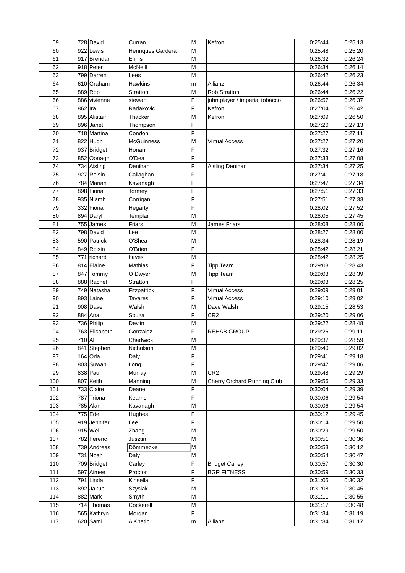| 59  |         | 728 David     | Curran             | M | Kefron                         | 0:25:44 | 0:25:13 |
|-----|---------|---------------|--------------------|---|--------------------------------|---------|---------|
| 60  |         | 922 Lewis     | Henriques Gardera  | M |                                | 0:25:48 | 0:25:20 |
| 61  |         | 917 Brendan   | Ennis              | M |                                | 0:26:32 | 0:26:24 |
| 62  |         | 918 Peter     | McNeill            | M |                                | 0:26:34 | 0:26:14 |
| 63  |         | 799 Darren    | Lees               | M |                                | 0:26:42 | 0:26:23 |
| 64  |         | 610 Graham    | <b>Hawkins</b>     | m | Allianz                        | 0:26:44 | 0:26:34 |
| 65  |         | 889 Rob       | <b>Stratton</b>    | M | <b>Rob Stratton</b>            | 0:26:44 | 0:26:22 |
| 66  |         | 886 vivienne  | stewart            | F | john player / imperial tobacco | 0:26:57 | 0:26:37 |
| 67  | 862 Ira |               | Radakovic          | F | Kefron                         | 0:27:04 | 0:26:42 |
| 68  |         | 895 Alistair  | Thacker            | M | Kefron                         | 0:27:09 | 0:26:50 |
| 69  |         | 896 Janet     | Thompson           | F |                                | 0:27:20 | 0:27:13 |
| 70  |         | 718 Martina   | Condon             | F |                                | 0:27:27 | 0:27:11 |
| 71  |         | 822 Hugh      | <b>McGuinness</b>  | M | <b>Virtual Access</b>          | 0:27:27 | 0:27:20 |
| 72  |         | 937 Bridget   | Honan              | F |                                | 0:27:32 | 0:27:16 |
| 73  |         | 852 Oonagh    | O'Dea              | F |                                | 0:27:33 | 0:27:08 |
| 74  |         | 734 Aisling   | Denihan            | F | Aisling Denihan                | 0:27:34 | 0:27:25 |
| 75  |         | 927 Roisin    | Callaghan          | F |                                | 0:27:41 | 0:27:18 |
| 76  |         |               |                    | F |                                |         |         |
|     |         | 784 Marian    | Kavanagh           |   |                                | 0:27:47 | 0:27:34 |
| 77  |         | 898 Fiona     | Tormey             | F |                                | 0:27:51 | 0:27:33 |
| 78  |         | 935 Niamh     | Corrigan           | F |                                | 0:27:51 | 0:27:33 |
| 79  |         | 332 Fiona     | Hegarty            | F |                                | 0:28:02 | 0:27:52 |
| 80  |         | 894 Daryl     | Templar            | M |                                | 0:28:05 | 0:27:45 |
| 81  |         | $755$ James   | <b>Friars</b>      | M | <b>James Friars</b>            | 0:28:08 | 0:28:00 |
| 82  |         | 798 David     | Lee                | M |                                | 0:28:27 | 0:28:00 |
| 83  |         | 590 Patrick   | O'Shea             | M |                                | 0:28:34 | 0:28:19 |
| 84  |         | 849 Roisin    | O'Brien            | F |                                | 0:28:42 | 0:28:21 |
| 85  |         | 771 richard   | hayes              | M |                                | 0:28:42 | 0:28:25 |
| 86  |         | 814 Elaine    | Mathias            | F | <b>Tipp Team</b>               | 0:29:03 | 0:28:43 |
| 87  |         | 847 Tommy     | O Dwyer            | M | <b>Tipp Team</b>               | 0:29:03 | 0:28:39 |
| 88  |         | 888 Rachel    | <b>Stratton</b>    | F |                                | 0:29:03 | 0:28:25 |
| 89  |         | 749 Natasha   | Fitzpatrick        | F | <b>Virtual Access</b>          | 0:29:09 | 0:29:01 |
| 90  |         | 893 Laine     | Tavares            | F | <b>Virtual Access</b>          | 0:29:10 | 0:29:02 |
| 91  |         | 908 Dave      | Walsh              | M | Dave Walsh                     | 0:29:15 | 0:28:53 |
| 92  |         | 884 Ana       | Souza              | F | CR <sub>2</sub>                | 0:29:20 | 0:29:06 |
| 93  |         | 736 Philip    | Devlin             | M |                                | 0:29:22 | 0:28:48 |
| 94  |         | 763 Elisabeth | Gonzalez           | F | <b>REHAB GROUP</b>             | 0:29:26 | 0:29:11 |
| 95  | 710 Al  |               | Chadwick           | M |                                | 0:29:37 | 0:28:59 |
| 96  |         | 841 Stephen   | Nicholson          | M |                                | 0:29:40 | 0:29:02 |
| 97  |         | 164 Orla      | Daly               | F |                                | 0:29:41 | 0:29:18 |
| 98  |         | 803 Suwan     | Long               | F |                                | 0:29:47 | 0:29:06 |
| 99  |         | 838 Paul      | Murray             | M | CR <sub>2</sub>                | 0:29:48 | 0:29:29 |
| 100 |         | 807 Keith     | Manning            | M | Cherry Orchard Running Club    | 0:29:56 | 0:29:33 |
| 101 |         | 733 Claire    | Deane              | F |                                | 0:30:04 | 0:29:39 |
| 102 |         | 787 Triona    | Kearns             | F |                                | 0:30:06 | 0:29:54 |
| 103 |         | 785 Alan      |                    | M |                                | 0:30:06 | 0:29:54 |
| 104 |         | $775$ Edel    | Kavanagh<br>Hughes | F |                                | 0:30:12 | 0:29:45 |
|     |         |               |                    |   |                                |         |         |
| 105 |         | 919 Jennifer  | Lee                | F |                                | 0:30:14 | 0:29:50 |
| 106 |         | 915 Wei       | Zhang              | M |                                | 0:30:29 | 0:29:50 |
| 107 |         | 782 Ferenc    | Jusztin            | M |                                | 0:30:51 | 0:30:36 |
| 108 |         | 739 Andreas   | Dömmecke           | M |                                | 0:30:53 | 0:30:12 |
| 109 |         | 731 Noah      | Daly               | М |                                | 0:30:54 | 0:30:47 |
| 110 |         | 709 Bridget   | Carley             | F | <b>Bridget Carley</b>          | 0:30:57 | 0:30:30 |
| 111 |         | 597 Aimee     | Proctor            | F | <b>BGR FITNESS</b>             | 0:30:59 | 0:30:33 |
| 112 |         | $791$ Linda   | Kinsella           | F |                                | 0:31:05 | 0:30:32 |
| 113 |         | 892 Jakub     | <b>Szyslak</b>     | M |                                | 0:31:08 | 0:30:45 |
| 114 |         | 882 Mark      | Smyth              | М |                                | 0:31:11 | 0:30:55 |
| 115 |         | 714 Thomas    | Cockerell          | M |                                | 0:31:17 | 0:30:48 |
| 116 |         | 565 Kathryn   | Morgan             | F |                                | 0:31:34 | 0:31:19 |
| 117 |         | 620 Sami      | AlKhatib           | m | Allianz                        | 0:31:34 | 0:31:17 |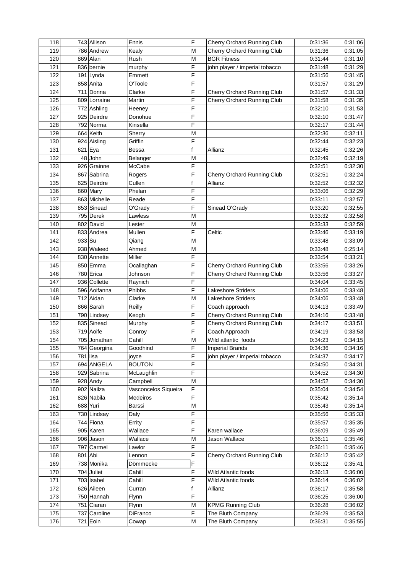| M<br>119<br>786 Andrew<br>Cherry Orchard Running Club<br>0:31:36<br>0:31:05<br>Kealy<br>869 Alan<br>M<br>120<br>Rush<br><b>BGR Fitness</b><br>0:31:44<br>0:31:10<br>F<br>121<br>836 bernie<br>john player / imperial tobacco<br>0:31:48<br>0:31:29<br>murphy<br>F<br>122<br>$191$ Lynda<br>0:31:56<br>0:31:45<br>Emmett<br>F<br>858 Anita<br>123<br>0:31:57<br>0:31:29<br>O'Toole<br>F<br>124<br>711<br>Donna<br>0:31:57<br>0:31:33<br>Cherry Orchard Running Club<br>Clarke<br>F<br>125<br>809 Lorraine<br>Cherry Orchard Running Club<br>0:31:35<br>0:31:58<br>Martin<br>F<br>126<br>772 Ashling<br>0:32:10<br>0:31:53<br>Heeney<br>F<br>127<br>925 Deirdre<br>0:31:47<br>Donohue<br>0:32:10<br>F<br>128<br>792 Norma<br>0:32:17<br>0:31:44<br>Kinsella<br>664 Keith<br>129<br>M<br>0:32:11<br>Sherry<br>0:32:36<br>F<br>130<br>924 Aisling<br>Griffin<br>0:32:23<br>0:32:44<br>f<br>131<br>$621$ Eya<br>Allianz<br>0:32:26<br><b>Bessa</b><br>0:32:45<br>132<br>$48$ John<br>0:32:19<br>M<br>0:32:49<br>Belanger<br>F<br>0:32:30<br>133<br>926 Grainne<br>McCabe<br>0:32:51<br>F<br>0:32:24<br>134<br>867 Sabrina<br>0:32:51<br>Rogers<br>Cherry Orchard Running Club<br>135<br>625 Deirdre<br>f<br>0:32:32<br>Cullen<br>Allianz<br>0:32:52<br>F<br>0:32:29<br>136<br>860 Mary<br>Phelan<br>0:33:06<br>137<br>863 Michelle<br>F<br>0:33:11<br>0:32:57<br>Reade<br>F<br>0:32:55<br>138<br>853 Sinead<br>O'Grady<br>0:33:20<br>Sinead O'Grady<br>0:32:58<br>139<br>795 Derek<br>M<br>0:33:32<br>Lawless<br>802 David<br>0:32:59<br>140<br>M<br>0:33:33<br>Lester<br>F<br>833 Andrea<br>Mullen<br>0:33:19<br>141<br>Celtic<br>0:33:46<br>0:33:09<br>142<br>933 Su<br>M<br>0:33:48<br>Qiang<br>938 Waleed<br>0:25:14<br>143<br>Ahmed<br>M<br>0:33:48<br>F<br>0:33:21<br>144<br>830 Annette<br>Miller<br>0:33:54<br>F<br>Cherry Orchard Running Club<br>0:33:26<br>145<br>850 Emma<br>Ocallaghan<br>0:33:56<br>F<br>0:33:27<br>146<br>780 Erica<br>Cherry Orchard Running Club<br>0:33:56<br>Johnson<br>F<br>147<br>936 Collette<br>0:33:45<br>0:34:04<br>Raynich<br>F<br>596 Aoifanna<br>0:33:48<br>148<br><b>Lakeshore Striders</b><br>0:34:06<br>Phibbs<br>0:33:48<br>149<br>712 Aidan<br>M<br>0:34:06<br>Clarke<br>Lakeshore Striders<br>F<br>0:33:49<br>150<br>0:34:13<br>866 Sarah<br>Reilly<br>Coach approach<br>F<br>151<br>Cherry Orchard Running Club<br>0:33:48<br>790 Lindsey<br>Keogh<br>0:34:16<br>F<br>152<br>0:33:51<br>835 Sinead<br>Cherry Orchard Running Club<br>0:34:17<br>Murphy<br>F<br>0:33:53<br>153<br>719 Aoife<br>Coach Approach<br>0:34:19<br>Conroy<br>0:34:15<br>154<br>705 Jonathan<br>Cahill<br>M<br>0:34:23<br>Wild atlantic foods<br>155<br>F<br>764 Georgina<br>Goodhind<br><b>Imperial Brands</b><br>0:34:36<br>F<br>john player / imperial tobacco<br>0:34:37<br>0:34:17<br>156<br>$781$ lisa<br>joyce<br>F<br>157<br>694 ANGELA<br>0:34:50<br>0:34:31<br><b>BOUTON</b><br>F<br>158<br>929 Sabrina<br>0:34:52<br>0:34:30<br>McLaughlin<br>M<br>0:34:52<br>159<br>928 Andy<br>Campbell<br>0:34:30<br>F<br>902 Nailza<br>0:35:04<br>160<br>Vasconcelos Siqueira<br>0:34:54<br>F<br>826 Nabila<br>161<br>Medeiros<br>0:35:42<br>0:35:14<br>162<br>688 Yuri<br>M<br>0:35:43<br>0:35:14<br><b>Barssi</b><br>F<br>163<br>730 Lindsay<br>Daly<br>0:35:56<br>F<br>744 Fiona<br>0:35:57<br>164<br>Errity<br>$\overline{F}$<br>905 Karen<br>165<br>Wallace<br>Karen wallace<br>0:36:09<br>166<br>M<br>Jason Wallace<br>0:36:11<br>906 Jason<br>Wallace<br>F<br>0:36:11<br>167<br>797 Carmel<br>Lawlor<br>F<br>168<br>801 Abi<br>0:36:12<br>Lennon<br>Cherry Orchard Running Club<br>$\overline{F}$<br>169<br>738 Monika<br>0:36:12<br>Dömmecke<br>$\overline{F}$<br>170<br>704 Juliet<br>Wild Atlantic foods<br>0:36:13<br>0:36:00<br>Cahill<br>F<br>703 Isabel<br>171<br>Cahill<br>Wild Atlantic foods<br>0:36:14<br>f<br>172<br>626 Aileen<br>Allianz<br>0:36:17<br>Curran<br>F<br>173<br>750 Hannah<br>0:36:25<br>0:36:00<br>Flynn<br>174<br>751 Ciaran<br>M<br>0:36:28<br>Flynn<br><b>KPMG Running Club</b><br>F<br>175<br>737 Caroline<br>DiFranco<br>The Bluth Company<br>0:36:29<br>176<br>0:36:31<br>721 Eoin<br>M<br>The Bluth Company<br>Cowap | 118 | 743 Allison | Ennis | F | Cherry Orchard Running Club | 0:31:36 | 0:31:06 |
|------------------------------------------------------------------------------------------------------------------------------------------------------------------------------------------------------------------------------------------------------------------------------------------------------------------------------------------------------------------------------------------------------------------------------------------------------------------------------------------------------------------------------------------------------------------------------------------------------------------------------------------------------------------------------------------------------------------------------------------------------------------------------------------------------------------------------------------------------------------------------------------------------------------------------------------------------------------------------------------------------------------------------------------------------------------------------------------------------------------------------------------------------------------------------------------------------------------------------------------------------------------------------------------------------------------------------------------------------------------------------------------------------------------------------------------------------------------------------------------------------------------------------------------------------------------------------------------------------------------------------------------------------------------------------------------------------------------------------------------------------------------------------------------------------------------------------------------------------------------------------------------------------------------------------------------------------------------------------------------------------------------------------------------------------------------------------------------------------------------------------------------------------------------------------------------------------------------------------------------------------------------------------------------------------------------------------------------------------------------------------------------------------------------------------------------------------------------------------------------------------------------------------------------------------------------------------------------------------------------------------------------------------------------------------------------------------------------------------------------------------------------------------------------------------------------------------------------------------------------------------------------------------------------------------------------------------------------------------------------------------------------------------------------------------------------------------------------------------------------------------------------------------------------------------------------------------------------------------------------------------------------------------------------------------------------------------------------------------------------------------------------------------------------------------------------------------------------------------------------------------------------------------------------------------------------------------------------------------------------------------------------------------------------------------------------------------------------------------------------------------------------------------------------------------------------------------------------------------------------------------------------------------------------------------------------------------------------------------------------------------------------------------------------------------------------------------------------------------------------------------------------------------------------------------------|-----|-------------|-------|---|-----------------------------|---------|---------|
|                                                                                                                                                                                                                                                                                                                                                                                                                                                                                                                                                                                                                                                                                                                                                                                                                                                                                                                                                                                                                                                                                                                                                                                                                                                                                                                                                                                                                                                                                                                                                                                                                                                                                                                                                                                                                                                                                                                                                                                                                                                                                                                                                                                                                                                                                                                                                                                                                                                                                                                                                                                                                                                                                                                                                                                                                                                                                                                                                                                                                                                                                                                                                                                                                                                                                                                                                                                                                                                                                                                                                                                                                                                                                                                                                                                                                                                                                                                                                                                                                                                                                                                                                                                    |     |             |       |   |                             |         |         |
|                                                                                                                                                                                                                                                                                                                                                                                                                                                                                                                                                                                                                                                                                                                                                                                                                                                                                                                                                                                                                                                                                                                                                                                                                                                                                                                                                                                                                                                                                                                                                                                                                                                                                                                                                                                                                                                                                                                                                                                                                                                                                                                                                                                                                                                                                                                                                                                                                                                                                                                                                                                                                                                                                                                                                                                                                                                                                                                                                                                                                                                                                                                                                                                                                                                                                                                                                                                                                                                                                                                                                                                                                                                                                                                                                                                                                                                                                                                                                                                                                                                                                                                                                                                    |     |             |       |   |                             |         |         |
|                                                                                                                                                                                                                                                                                                                                                                                                                                                                                                                                                                                                                                                                                                                                                                                                                                                                                                                                                                                                                                                                                                                                                                                                                                                                                                                                                                                                                                                                                                                                                                                                                                                                                                                                                                                                                                                                                                                                                                                                                                                                                                                                                                                                                                                                                                                                                                                                                                                                                                                                                                                                                                                                                                                                                                                                                                                                                                                                                                                                                                                                                                                                                                                                                                                                                                                                                                                                                                                                                                                                                                                                                                                                                                                                                                                                                                                                                                                                                                                                                                                                                                                                                                                    |     |             |       |   |                             |         |         |
|                                                                                                                                                                                                                                                                                                                                                                                                                                                                                                                                                                                                                                                                                                                                                                                                                                                                                                                                                                                                                                                                                                                                                                                                                                                                                                                                                                                                                                                                                                                                                                                                                                                                                                                                                                                                                                                                                                                                                                                                                                                                                                                                                                                                                                                                                                                                                                                                                                                                                                                                                                                                                                                                                                                                                                                                                                                                                                                                                                                                                                                                                                                                                                                                                                                                                                                                                                                                                                                                                                                                                                                                                                                                                                                                                                                                                                                                                                                                                                                                                                                                                                                                                                                    |     |             |       |   |                             |         |         |
|                                                                                                                                                                                                                                                                                                                                                                                                                                                                                                                                                                                                                                                                                                                                                                                                                                                                                                                                                                                                                                                                                                                                                                                                                                                                                                                                                                                                                                                                                                                                                                                                                                                                                                                                                                                                                                                                                                                                                                                                                                                                                                                                                                                                                                                                                                                                                                                                                                                                                                                                                                                                                                                                                                                                                                                                                                                                                                                                                                                                                                                                                                                                                                                                                                                                                                                                                                                                                                                                                                                                                                                                                                                                                                                                                                                                                                                                                                                                                                                                                                                                                                                                                                                    |     |             |       |   |                             |         |         |
|                                                                                                                                                                                                                                                                                                                                                                                                                                                                                                                                                                                                                                                                                                                                                                                                                                                                                                                                                                                                                                                                                                                                                                                                                                                                                                                                                                                                                                                                                                                                                                                                                                                                                                                                                                                                                                                                                                                                                                                                                                                                                                                                                                                                                                                                                                                                                                                                                                                                                                                                                                                                                                                                                                                                                                                                                                                                                                                                                                                                                                                                                                                                                                                                                                                                                                                                                                                                                                                                                                                                                                                                                                                                                                                                                                                                                                                                                                                                                                                                                                                                                                                                                                                    |     |             |       |   |                             |         |         |
|                                                                                                                                                                                                                                                                                                                                                                                                                                                                                                                                                                                                                                                                                                                                                                                                                                                                                                                                                                                                                                                                                                                                                                                                                                                                                                                                                                                                                                                                                                                                                                                                                                                                                                                                                                                                                                                                                                                                                                                                                                                                                                                                                                                                                                                                                                                                                                                                                                                                                                                                                                                                                                                                                                                                                                                                                                                                                                                                                                                                                                                                                                                                                                                                                                                                                                                                                                                                                                                                                                                                                                                                                                                                                                                                                                                                                                                                                                                                                                                                                                                                                                                                                                                    |     |             |       |   |                             |         |         |
|                                                                                                                                                                                                                                                                                                                                                                                                                                                                                                                                                                                                                                                                                                                                                                                                                                                                                                                                                                                                                                                                                                                                                                                                                                                                                                                                                                                                                                                                                                                                                                                                                                                                                                                                                                                                                                                                                                                                                                                                                                                                                                                                                                                                                                                                                                                                                                                                                                                                                                                                                                                                                                                                                                                                                                                                                                                                                                                                                                                                                                                                                                                                                                                                                                                                                                                                                                                                                                                                                                                                                                                                                                                                                                                                                                                                                                                                                                                                                                                                                                                                                                                                                                                    |     |             |       |   |                             |         |         |
|                                                                                                                                                                                                                                                                                                                                                                                                                                                                                                                                                                                                                                                                                                                                                                                                                                                                                                                                                                                                                                                                                                                                                                                                                                                                                                                                                                                                                                                                                                                                                                                                                                                                                                                                                                                                                                                                                                                                                                                                                                                                                                                                                                                                                                                                                                                                                                                                                                                                                                                                                                                                                                                                                                                                                                                                                                                                                                                                                                                                                                                                                                                                                                                                                                                                                                                                                                                                                                                                                                                                                                                                                                                                                                                                                                                                                                                                                                                                                                                                                                                                                                                                                                                    |     |             |       |   |                             |         |         |
|                                                                                                                                                                                                                                                                                                                                                                                                                                                                                                                                                                                                                                                                                                                                                                                                                                                                                                                                                                                                                                                                                                                                                                                                                                                                                                                                                                                                                                                                                                                                                                                                                                                                                                                                                                                                                                                                                                                                                                                                                                                                                                                                                                                                                                                                                                                                                                                                                                                                                                                                                                                                                                                                                                                                                                                                                                                                                                                                                                                                                                                                                                                                                                                                                                                                                                                                                                                                                                                                                                                                                                                                                                                                                                                                                                                                                                                                                                                                                                                                                                                                                                                                                                                    |     |             |       |   |                             |         |         |
|                                                                                                                                                                                                                                                                                                                                                                                                                                                                                                                                                                                                                                                                                                                                                                                                                                                                                                                                                                                                                                                                                                                                                                                                                                                                                                                                                                                                                                                                                                                                                                                                                                                                                                                                                                                                                                                                                                                                                                                                                                                                                                                                                                                                                                                                                                                                                                                                                                                                                                                                                                                                                                                                                                                                                                                                                                                                                                                                                                                                                                                                                                                                                                                                                                                                                                                                                                                                                                                                                                                                                                                                                                                                                                                                                                                                                                                                                                                                                                                                                                                                                                                                                                                    |     |             |       |   |                             |         |         |
|                                                                                                                                                                                                                                                                                                                                                                                                                                                                                                                                                                                                                                                                                                                                                                                                                                                                                                                                                                                                                                                                                                                                                                                                                                                                                                                                                                                                                                                                                                                                                                                                                                                                                                                                                                                                                                                                                                                                                                                                                                                                                                                                                                                                                                                                                                                                                                                                                                                                                                                                                                                                                                                                                                                                                                                                                                                                                                                                                                                                                                                                                                                                                                                                                                                                                                                                                                                                                                                                                                                                                                                                                                                                                                                                                                                                                                                                                                                                                                                                                                                                                                                                                                                    |     |             |       |   |                             |         |         |
| 0:34:16<br>0:35:33<br>0:35:35<br>0:35:49<br>0:35:46<br>0:35:46<br>0:35:42<br>0:35:41<br>0:36:02<br>0:35:58<br>0:35:55                                                                                                                                                                                                                                                                                                                                                                                                                                                                                                                                                                                                                                                                                                                                                                                                                                                                                                                                                                                                                                                                                                                                                                                                                                                                                                                                                                                                                                                                                                                                                                                                                                                                                                                                                                                                                                                                                                                                                                                                                                                                                                                                                                                                                                                                                                                                                                                                                                                                                                                                                                                                                                                                                                                                                                                                                                                                                                                                                                                                                                                                                                                                                                                                                                                                                                                                                                                                                                                                                                                                                                                                                                                                                                                                                                                                                                                                                                                                                                                                                                                              |     |             |       |   |                             |         |         |
|                                                                                                                                                                                                                                                                                                                                                                                                                                                                                                                                                                                                                                                                                                                                                                                                                                                                                                                                                                                                                                                                                                                                                                                                                                                                                                                                                                                                                                                                                                                                                                                                                                                                                                                                                                                                                                                                                                                                                                                                                                                                                                                                                                                                                                                                                                                                                                                                                                                                                                                                                                                                                                                                                                                                                                                                                                                                                                                                                                                                                                                                                                                                                                                                                                                                                                                                                                                                                                                                                                                                                                                                                                                                                                                                                                                                                                                                                                                                                                                                                                                                                                                                                                                    |     |             |       |   |                             |         |         |
|                                                                                                                                                                                                                                                                                                                                                                                                                                                                                                                                                                                                                                                                                                                                                                                                                                                                                                                                                                                                                                                                                                                                                                                                                                                                                                                                                                                                                                                                                                                                                                                                                                                                                                                                                                                                                                                                                                                                                                                                                                                                                                                                                                                                                                                                                                                                                                                                                                                                                                                                                                                                                                                                                                                                                                                                                                                                                                                                                                                                                                                                                                                                                                                                                                                                                                                                                                                                                                                                                                                                                                                                                                                                                                                                                                                                                                                                                                                                                                                                                                                                                                                                                                                    |     |             |       |   |                             |         |         |
|                                                                                                                                                                                                                                                                                                                                                                                                                                                                                                                                                                                                                                                                                                                                                                                                                                                                                                                                                                                                                                                                                                                                                                                                                                                                                                                                                                                                                                                                                                                                                                                                                                                                                                                                                                                                                                                                                                                                                                                                                                                                                                                                                                                                                                                                                                                                                                                                                                                                                                                                                                                                                                                                                                                                                                                                                                                                                                                                                                                                                                                                                                                                                                                                                                                                                                                                                                                                                                                                                                                                                                                                                                                                                                                                                                                                                                                                                                                                                                                                                                                                                                                                                                                    |     |             |       |   |                             |         |         |
|                                                                                                                                                                                                                                                                                                                                                                                                                                                                                                                                                                                                                                                                                                                                                                                                                                                                                                                                                                                                                                                                                                                                                                                                                                                                                                                                                                                                                                                                                                                                                                                                                                                                                                                                                                                                                                                                                                                                                                                                                                                                                                                                                                                                                                                                                                                                                                                                                                                                                                                                                                                                                                                                                                                                                                                                                                                                                                                                                                                                                                                                                                                                                                                                                                                                                                                                                                                                                                                                                                                                                                                                                                                                                                                                                                                                                                                                                                                                                                                                                                                                                                                                                                                    |     |             |       |   |                             |         |         |
|                                                                                                                                                                                                                                                                                                                                                                                                                                                                                                                                                                                                                                                                                                                                                                                                                                                                                                                                                                                                                                                                                                                                                                                                                                                                                                                                                                                                                                                                                                                                                                                                                                                                                                                                                                                                                                                                                                                                                                                                                                                                                                                                                                                                                                                                                                                                                                                                                                                                                                                                                                                                                                                                                                                                                                                                                                                                                                                                                                                                                                                                                                                                                                                                                                                                                                                                                                                                                                                                                                                                                                                                                                                                                                                                                                                                                                                                                                                                                                                                                                                                                                                                                                                    |     |             |       |   |                             |         |         |
|                                                                                                                                                                                                                                                                                                                                                                                                                                                                                                                                                                                                                                                                                                                                                                                                                                                                                                                                                                                                                                                                                                                                                                                                                                                                                                                                                                                                                                                                                                                                                                                                                                                                                                                                                                                                                                                                                                                                                                                                                                                                                                                                                                                                                                                                                                                                                                                                                                                                                                                                                                                                                                                                                                                                                                                                                                                                                                                                                                                                                                                                                                                                                                                                                                                                                                                                                                                                                                                                                                                                                                                                                                                                                                                                                                                                                                                                                                                                                                                                                                                                                                                                                                                    |     |             |       |   |                             |         |         |
|                                                                                                                                                                                                                                                                                                                                                                                                                                                                                                                                                                                                                                                                                                                                                                                                                                                                                                                                                                                                                                                                                                                                                                                                                                                                                                                                                                                                                                                                                                                                                                                                                                                                                                                                                                                                                                                                                                                                                                                                                                                                                                                                                                                                                                                                                                                                                                                                                                                                                                                                                                                                                                                                                                                                                                                                                                                                                                                                                                                                                                                                                                                                                                                                                                                                                                                                                                                                                                                                                                                                                                                                                                                                                                                                                                                                                                                                                                                                                                                                                                                                                                                                                                                    |     |             |       |   |                             |         |         |
|                                                                                                                                                                                                                                                                                                                                                                                                                                                                                                                                                                                                                                                                                                                                                                                                                                                                                                                                                                                                                                                                                                                                                                                                                                                                                                                                                                                                                                                                                                                                                                                                                                                                                                                                                                                                                                                                                                                                                                                                                                                                                                                                                                                                                                                                                                                                                                                                                                                                                                                                                                                                                                                                                                                                                                                                                                                                                                                                                                                                                                                                                                                                                                                                                                                                                                                                                                                                                                                                                                                                                                                                                                                                                                                                                                                                                                                                                                                                                                                                                                                                                                                                                                                    |     |             |       |   |                             |         |         |
|                                                                                                                                                                                                                                                                                                                                                                                                                                                                                                                                                                                                                                                                                                                                                                                                                                                                                                                                                                                                                                                                                                                                                                                                                                                                                                                                                                                                                                                                                                                                                                                                                                                                                                                                                                                                                                                                                                                                                                                                                                                                                                                                                                                                                                                                                                                                                                                                                                                                                                                                                                                                                                                                                                                                                                                                                                                                                                                                                                                                                                                                                                                                                                                                                                                                                                                                                                                                                                                                                                                                                                                                                                                                                                                                                                                                                                                                                                                                                                                                                                                                                                                                                                                    |     |             |       |   |                             |         |         |
|                                                                                                                                                                                                                                                                                                                                                                                                                                                                                                                                                                                                                                                                                                                                                                                                                                                                                                                                                                                                                                                                                                                                                                                                                                                                                                                                                                                                                                                                                                                                                                                                                                                                                                                                                                                                                                                                                                                                                                                                                                                                                                                                                                                                                                                                                                                                                                                                                                                                                                                                                                                                                                                                                                                                                                                                                                                                                                                                                                                                                                                                                                                                                                                                                                                                                                                                                                                                                                                                                                                                                                                                                                                                                                                                                                                                                                                                                                                                                                                                                                                                                                                                                                                    |     |             |       |   |                             |         |         |
|                                                                                                                                                                                                                                                                                                                                                                                                                                                                                                                                                                                                                                                                                                                                                                                                                                                                                                                                                                                                                                                                                                                                                                                                                                                                                                                                                                                                                                                                                                                                                                                                                                                                                                                                                                                                                                                                                                                                                                                                                                                                                                                                                                                                                                                                                                                                                                                                                                                                                                                                                                                                                                                                                                                                                                                                                                                                                                                                                                                                                                                                                                                                                                                                                                                                                                                                                                                                                                                                                                                                                                                                                                                                                                                                                                                                                                                                                                                                                                                                                                                                                                                                                                                    |     |             |       |   |                             |         |         |
|                                                                                                                                                                                                                                                                                                                                                                                                                                                                                                                                                                                                                                                                                                                                                                                                                                                                                                                                                                                                                                                                                                                                                                                                                                                                                                                                                                                                                                                                                                                                                                                                                                                                                                                                                                                                                                                                                                                                                                                                                                                                                                                                                                                                                                                                                                                                                                                                                                                                                                                                                                                                                                                                                                                                                                                                                                                                                                                                                                                                                                                                                                                                                                                                                                                                                                                                                                                                                                                                                                                                                                                                                                                                                                                                                                                                                                                                                                                                                                                                                                                                                                                                                                                    |     |             |       |   |                             |         |         |
|                                                                                                                                                                                                                                                                                                                                                                                                                                                                                                                                                                                                                                                                                                                                                                                                                                                                                                                                                                                                                                                                                                                                                                                                                                                                                                                                                                                                                                                                                                                                                                                                                                                                                                                                                                                                                                                                                                                                                                                                                                                                                                                                                                                                                                                                                                                                                                                                                                                                                                                                                                                                                                                                                                                                                                                                                                                                                                                                                                                                                                                                                                                                                                                                                                                                                                                                                                                                                                                                                                                                                                                                                                                                                                                                                                                                                                                                                                                                                                                                                                                                                                                                                                                    |     |             |       |   |                             |         |         |
| 0:36:02<br>0:35:53                                                                                                                                                                                                                                                                                                                                                                                                                                                                                                                                                                                                                                                                                                                                                                                                                                                                                                                                                                                                                                                                                                                                                                                                                                                                                                                                                                                                                                                                                                                                                                                                                                                                                                                                                                                                                                                                                                                                                                                                                                                                                                                                                                                                                                                                                                                                                                                                                                                                                                                                                                                                                                                                                                                                                                                                                                                                                                                                                                                                                                                                                                                                                                                                                                                                                                                                                                                                                                                                                                                                                                                                                                                                                                                                                                                                                                                                                                                                                                                                                                                                                                                                                                 |     |             |       |   |                             |         |         |
|                                                                                                                                                                                                                                                                                                                                                                                                                                                                                                                                                                                                                                                                                                                                                                                                                                                                                                                                                                                                                                                                                                                                                                                                                                                                                                                                                                                                                                                                                                                                                                                                                                                                                                                                                                                                                                                                                                                                                                                                                                                                                                                                                                                                                                                                                                                                                                                                                                                                                                                                                                                                                                                                                                                                                                                                                                                                                                                                                                                                                                                                                                                                                                                                                                                                                                                                                                                                                                                                                                                                                                                                                                                                                                                                                                                                                                                                                                                                                                                                                                                                                                                                                                                    |     |             |       |   |                             |         |         |
|                                                                                                                                                                                                                                                                                                                                                                                                                                                                                                                                                                                                                                                                                                                                                                                                                                                                                                                                                                                                                                                                                                                                                                                                                                                                                                                                                                                                                                                                                                                                                                                                                                                                                                                                                                                                                                                                                                                                                                                                                                                                                                                                                                                                                                                                                                                                                                                                                                                                                                                                                                                                                                                                                                                                                                                                                                                                                                                                                                                                                                                                                                                                                                                                                                                                                                                                                                                                                                                                                                                                                                                                                                                                                                                                                                                                                                                                                                                                                                                                                                                                                                                                                                                    |     |             |       |   |                             |         |         |
|                                                                                                                                                                                                                                                                                                                                                                                                                                                                                                                                                                                                                                                                                                                                                                                                                                                                                                                                                                                                                                                                                                                                                                                                                                                                                                                                                                                                                                                                                                                                                                                                                                                                                                                                                                                                                                                                                                                                                                                                                                                                                                                                                                                                                                                                                                                                                                                                                                                                                                                                                                                                                                                                                                                                                                                                                                                                                                                                                                                                                                                                                                                                                                                                                                                                                                                                                                                                                                                                                                                                                                                                                                                                                                                                                                                                                                                                                                                                                                                                                                                                                                                                                                                    |     |             |       |   |                             |         |         |
|                                                                                                                                                                                                                                                                                                                                                                                                                                                                                                                                                                                                                                                                                                                                                                                                                                                                                                                                                                                                                                                                                                                                                                                                                                                                                                                                                                                                                                                                                                                                                                                                                                                                                                                                                                                                                                                                                                                                                                                                                                                                                                                                                                                                                                                                                                                                                                                                                                                                                                                                                                                                                                                                                                                                                                                                                                                                                                                                                                                                                                                                                                                                                                                                                                                                                                                                                                                                                                                                                                                                                                                                                                                                                                                                                                                                                                                                                                                                                                                                                                                                                                                                                                                    |     |             |       |   |                             |         |         |
|                                                                                                                                                                                                                                                                                                                                                                                                                                                                                                                                                                                                                                                                                                                                                                                                                                                                                                                                                                                                                                                                                                                                                                                                                                                                                                                                                                                                                                                                                                                                                                                                                                                                                                                                                                                                                                                                                                                                                                                                                                                                                                                                                                                                                                                                                                                                                                                                                                                                                                                                                                                                                                                                                                                                                                                                                                                                                                                                                                                                                                                                                                                                                                                                                                                                                                                                                                                                                                                                                                                                                                                                                                                                                                                                                                                                                                                                                                                                                                                                                                                                                                                                                                                    |     |             |       |   |                             |         |         |
|                                                                                                                                                                                                                                                                                                                                                                                                                                                                                                                                                                                                                                                                                                                                                                                                                                                                                                                                                                                                                                                                                                                                                                                                                                                                                                                                                                                                                                                                                                                                                                                                                                                                                                                                                                                                                                                                                                                                                                                                                                                                                                                                                                                                                                                                                                                                                                                                                                                                                                                                                                                                                                                                                                                                                                                                                                                                                                                                                                                                                                                                                                                                                                                                                                                                                                                                                                                                                                                                                                                                                                                                                                                                                                                                                                                                                                                                                                                                                                                                                                                                                                                                                                                    |     |             |       |   |                             |         |         |
|                                                                                                                                                                                                                                                                                                                                                                                                                                                                                                                                                                                                                                                                                                                                                                                                                                                                                                                                                                                                                                                                                                                                                                                                                                                                                                                                                                                                                                                                                                                                                                                                                                                                                                                                                                                                                                                                                                                                                                                                                                                                                                                                                                                                                                                                                                                                                                                                                                                                                                                                                                                                                                                                                                                                                                                                                                                                                                                                                                                                                                                                                                                                                                                                                                                                                                                                                                                                                                                                                                                                                                                                                                                                                                                                                                                                                                                                                                                                                                                                                                                                                                                                                                                    |     |             |       |   |                             |         |         |
|                                                                                                                                                                                                                                                                                                                                                                                                                                                                                                                                                                                                                                                                                                                                                                                                                                                                                                                                                                                                                                                                                                                                                                                                                                                                                                                                                                                                                                                                                                                                                                                                                                                                                                                                                                                                                                                                                                                                                                                                                                                                                                                                                                                                                                                                                                                                                                                                                                                                                                                                                                                                                                                                                                                                                                                                                                                                                                                                                                                                                                                                                                                                                                                                                                                                                                                                                                                                                                                                                                                                                                                                                                                                                                                                                                                                                                                                                                                                                                                                                                                                                                                                                                                    |     |             |       |   |                             |         |         |
|                                                                                                                                                                                                                                                                                                                                                                                                                                                                                                                                                                                                                                                                                                                                                                                                                                                                                                                                                                                                                                                                                                                                                                                                                                                                                                                                                                                                                                                                                                                                                                                                                                                                                                                                                                                                                                                                                                                                                                                                                                                                                                                                                                                                                                                                                                                                                                                                                                                                                                                                                                                                                                                                                                                                                                                                                                                                                                                                                                                                                                                                                                                                                                                                                                                                                                                                                                                                                                                                                                                                                                                                                                                                                                                                                                                                                                                                                                                                                                                                                                                                                                                                                                                    |     |             |       |   |                             |         |         |
|                                                                                                                                                                                                                                                                                                                                                                                                                                                                                                                                                                                                                                                                                                                                                                                                                                                                                                                                                                                                                                                                                                                                                                                                                                                                                                                                                                                                                                                                                                                                                                                                                                                                                                                                                                                                                                                                                                                                                                                                                                                                                                                                                                                                                                                                                                                                                                                                                                                                                                                                                                                                                                                                                                                                                                                                                                                                                                                                                                                                                                                                                                                                                                                                                                                                                                                                                                                                                                                                                                                                                                                                                                                                                                                                                                                                                                                                                                                                                                                                                                                                                                                                                                                    |     |             |       |   |                             |         |         |
|                                                                                                                                                                                                                                                                                                                                                                                                                                                                                                                                                                                                                                                                                                                                                                                                                                                                                                                                                                                                                                                                                                                                                                                                                                                                                                                                                                                                                                                                                                                                                                                                                                                                                                                                                                                                                                                                                                                                                                                                                                                                                                                                                                                                                                                                                                                                                                                                                                                                                                                                                                                                                                                                                                                                                                                                                                                                                                                                                                                                                                                                                                                                                                                                                                                                                                                                                                                                                                                                                                                                                                                                                                                                                                                                                                                                                                                                                                                                                                                                                                                                                                                                                                                    |     |             |       |   |                             |         |         |
|                                                                                                                                                                                                                                                                                                                                                                                                                                                                                                                                                                                                                                                                                                                                                                                                                                                                                                                                                                                                                                                                                                                                                                                                                                                                                                                                                                                                                                                                                                                                                                                                                                                                                                                                                                                                                                                                                                                                                                                                                                                                                                                                                                                                                                                                                                                                                                                                                                                                                                                                                                                                                                                                                                                                                                                                                                                                                                                                                                                                                                                                                                                                                                                                                                                                                                                                                                                                                                                                                                                                                                                                                                                                                                                                                                                                                                                                                                                                                                                                                                                                                                                                                                                    |     |             |       |   |                             |         |         |
|                                                                                                                                                                                                                                                                                                                                                                                                                                                                                                                                                                                                                                                                                                                                                                                                                                                                                                                                                                                                                                                                                                                                                                                                                                                                                                                                                                                                                                                                                                                                                                                                                                                                                                                                                                                                                                                                                                                                                                                                                                                                                                                                                                                                                                                                                                                                                                                                                                                                                                                                                                                                                                                                                                                                                                                                                                                                                                                                                                                                                                                                                                                                                                                                                                                                                                                                                                                                                                                                                                                                                                                                                                                                                                                                                                                                                                                                                                                                                                                                                                                                                                                                                                                    |     |             |       |   |                             |         |         |
|                                                                                                                                                                                                                                                                                                                                                                                                                                                                                                                                                                                                                                                                                                                                                                                                                                                                                                                                                                                                                                                                                                                                                                                                                                                                                                                                                                                                                                                                                                                                                                                                                                                                                                                                                                                                                                                                                                                                                                                                                                                                                                                                                                                                                                                                                                                                                                                                                                                                                                                                                                                                                                                                                                                                                                                                                                                                                                                                                                                                                                                                                                                                                                                                                                                                                                                                                                                                                                                                                                                                                                                                                                                                                                                                                                                                                                                                                                                                                                                                                                                                                                                                                                                    |     |             |       |   |                             |         |         |
|                                                                                                                                                                                                                                                                                                                                                                                                                                                                                                                                                                                                                                                                                                                                                                                                                                                                                                                                                                                                                                                                                                                                                                                                                                                                                                                                                                                                                                                                                                                                                                                                                                                                                                                                                                                                                                                                                                                                                                                                                                                                                                                                                                                                                                                                                                                                                                                                                                                                                                                                                                                                                                                                                                                                                                                                                                                                                                                                                                                                                                                                                                                                                                                                                                                                                                                                                                                                                                                                                                                                                                                                                                                                                                                                                                                                                                                                                                                                                                                                                                                                                                                                                                                    |     |             |       |   |                             |         |         |
|                                                                                                                                                                                                                                                                                                                                                                                                                                                                                                                                                                                                                                                                                                                                                                                                                                                                                                                                                                                                                                                                                                                                                                                                                                                                                                                                                                                                                                                                                                                                                                                                                                                                                                                                                                                                                                                                                                                                                                                                                                                                                                                                                                                                                                                                                                                                                                                                                                                                                                                                                                                                                                                                                                                                                                                                                                                                                                                                                                                                                                                                                                                                                                                                                                                                                                                                                                                                                                                                                                                                                                                                                                                                                                                                                                                                                                                                                                                                                                                                                                                                                                                                                                                    |     |             |       |   |                             |         |         |
|                                                                                                                                                                                                                                                                                                                                                                                                                                                                                                                                                                                                                                                                                                                                                                                                                                                                                                                                                                                                                                                                                                                                                                                                                                                                                                                                                                                                                                                                                                                                                                                                                                                                                                                                                                                                                                                                                                                                                                                                                                                                                                                                                                                                                                                                                                                                                                                                                                                                                                                                                                                                                                                                                                                                                                                                                                                                                                                                                                                                                                                                                                                                                                                                                                                                                                                                                                                                                                                                                                                                                                                                                                                                                                                                                                                                                                                                                                                                                                                                                                                                                                                                                                                    |     |             |       |   |                             |         |         |
|                                                                                                                                                                                                                                                                                                                                                                                                                                                                                                                                                                                                                                                                                                                                                                                                                                                                                                                                                                                                                                                                                                                                                                                                                                                                                                                                                                                                                                                                                                                                                                                                                                                                                                                                                                                                                                                                                                                                                                                                                                                                                                                                                                                                                                                                                                                                                                                                                                                                                                                                                                                                                                                                                                                                                                                                                                                                                                                                                                                                                                                                                                                                                                                                                                                                                                                                                                                                                                                                                                                                                                                                                                                                                                                                                                                                                                                                                                                                                                                                                                                                                                                                                                                    |     |             |       |   |                             |         |         |
|                                                                                                                                                                                                                                                                                                                                                                                                                                                                                                                                                                                                                                                                                                                                                                                                                                                                                                                                                                                                                                                                                                                                                                                                                                                                                                                                                                                                                                                                                                                                                                                                                                                                                                                                                                                                                                                                                                                                                                                                                                                                                                                                                                                                                                                                                                                                                                                                                                                                                                                                                                                                                                                                                                                                                                                                                                                                                                                                                                                                                                                                                                                                                                                                                                                                                                                                                                                                                                                                                                                                                                                                                                                                                                                                                                                                                                                                                                                                                                                                                                                                                                                                                                                    |     |             |       |   |                             |         |         |
|                                                                                                                                                                                                                                                                                                                                                                                                                                                                                                                                                                                                                                                                                                                                                                                                                                                                                                                                                                                                                                                                                                                                                                                                                                                                                                                                                                                                                                                                                                                                                                                                                                                                                                                                                                                                                                                                                                                                                                                                                                                                                                                                                                                                                                                                                                                                                                                                                                                                                                                                                                                                                                                                                                                                                                                                                                                                                                                                                                                                                                                                                                                                                                                                                                                                                                                                                                                                                                                                                                                                                                                                                                                                                                                                                                                                                                                                                                                                                                                                                                                                                                                                                                                    |     |             |       |   |                             |         |         |
|                                                                                                                                                                                                                                                                                                                                                                                                                                                                                                                                                                                                                                                                                                                                                                                                                                                                                                                                                                                                                                                                                                                                                                                                                                                                                                                                                                                                                                                                                                                                                                                                                                                                                                                                                                                                                                                                                                                                                                                                                                                                                                                                                                                                                                                                                                                                                                                                                                                                                                                                                                                                                                                                                                                                                                                                                                                                                                                                                                                                                                                                                                                                                                                                                                                                                                                                                                                                                                                                                                                                                                                                                                                                                                                                                                                                                                                                                                                                                                                                                                                                                                                                                                                    |     |             |       |   |                             |         |         |
|                                                                                                                                                                                                                                                                                                                                                                                                                                                                                                                                                                                                                                                                                                                                                                                                                                                                                                                                                                                                                                                                                                                                                                                                                                                                                                                                                                                                                                                                                                                                                                                                                                                                                                                                                                                                                                                                                                                                                                                                                                                                                                                                                                                                                                                                                                                                                                                                                                                                                                                                                                                                                                                                                                                                                                                                                                                                                                                                                                                                                                                                                                                                                                                                                                                                                                                                                                                                                                                                                                                                                                                                                                                                                                                                                                                                                                                                                                                                                                                                                                                                                                                                                                                    |     |             |       |   |                             |         |         |
|                                                                                                                                                                                                                                                                                                                                                                                                                                                                                                                                                                                                                                                                                                                                                                                                                                                                                                                                                                                                                                                                                                                                                                                                                                                                                                                                                                                                                                                                                                                                                                                                                                                                                                                                                                                                                                                                                                                                                                                                                                                                                                                                                                                                                                                                                                                                                                                                                                                                                                                                                                                                                                                                                                                                                                                                                                                                                                                                                                                                                                                                                                                                                                                                                                                                                                                                                                                                                                                                                                                                                                                                                                                                                                                                                                                                                                                                                                                                                                                                                                                                                                                                                                                    |     |             |       |   |                             |         |         |
|                                                                                                                                                                                                                                                                                                                                                                                                                                                                                                                                                                                                                                                                                                                                                                                                                                                                                                                                                                                                                                                                                                                                                                                                                                                                                                                                                                                                                                                                                                                                                                                                                                                                                                                                                                                                                                                                                                                                                                                                                                                                                                                                                                                                                                                                                                                                                                                                                                                                                                                                                                                                                                                                                                                                                                                                                                                                                                                                                                                                                                                                                                                                                                                                                                                                                                                                                                                                                                                                                                                                                                                                                                                                                                                                                                                                                                                                                                                                                                                                                                                                                                                                                                                    |     |             |       |   |                             |         |         |
|                                                                                                                                                                                                                                                                                                                                                                                                                                                                                                                                                                                                                                                                                                                                                                                                                                                                                                                                                                                                                                                                                                                                                                                                                                                                                                                                                                                                                                                                                                                                                                                                                                                                                                                                                                                                                                                                                                                                                                                                                                                                                                                                                                                                                                                                                                                                                                                                                                                                                                                                                                                                                                                                                                                                                                                                                                                                                                                                                                                                                                                                                                                                                                                                                                                                                                                                                                                                                                                                                                                                                                                                                                                                                                                                                                                                                                                                                                                                                                                                                                                                                                                                                                                    |     |             |       |   |                             |         |         |
|                                                                                                                                                                                                                                                                                                                                                                                                                                                                                                                                                                                                                                                                                                                                                                                                                                                                                                                                                                                                                                                                                                                                                                                                                                                                                                                                                                                                                                                                                                                                                                                                                                                                                                                                                                                                                                                                                                                                                                                                                                                                                                                                                                                                                                                                                                                                                                                                                                                                                                                                                                                                                                                                                                                                                                                                                                                                                                                                                                                                                                                                                                                                                                                                                                                                                                                                                                                                                                                                                                                                                                                                                                                                                                                                                                                                                                                                                                                                                                                                                                                                                                                                                                                    |     |             |       |   |                             |         |         |
|                                                                                                                                                                                                                                                                                                                                                                                                                                                                                                                                                                                                                                                                                                                                                                                                                                                                                                                                                                                                                                                                                                                                                                                                                                                                                                                                                                                                                                                                                                                                                                                                                                                                                                                                                                                                                                                                                                                                                                                                                                                                                                                                                                                                                                                                                                                                                                                                                                                                                                                                                                                                                                                                                                                                                                                                                                                                                                                                                                                                                                                                                                                                                                                                                                                                                                                                                                                                                                                                                                                                                                                                                                                                                                                                                                                                                                                                                                                                                                                                                                                                                                                                                                                    |     |             |       |   |                             |         |         |
|                                                                                                                                                                                                                                                                                                                                                                                                                                                                                                                                                                                                                                                                                                                                                                                                                                                                                                                                                                                                                                                                                                                                                                                                                                                                                                                                                                                                                                                                                                                                                                                                                                                                                                                                                                                                                                                                                                                                                                                                                                                                                                                                                                                                                                                                                                                                                                                                                                                                                                                                                                                                                                                                                                                                                                                                                                                                                                                                                                                                                                                                                                                                                                                                                                                                                                                                                                                                                                                                                                                                                                                                                                                                                                                                                                                                                                                                                                                                                                                                                                                                                                                                                                                    |     |             |       |   |                             |         |         |
|                                                                                                                                                                                                                                                                                                                                                                                                                                                                                                                                                                                                                                                                                                                                                                                                                                                                                                                                                                                                                                                                                                                                                                                                                                                                                                                                                                                                                                                                                                                                                                                                                                                                                                                                                                                                                                                                                                                                                                                                                                                                                                                                                                                                                                                                                                                                                                                                                                                                                                                                                                                                                                                                                                                                                                                                                                                                                                                                                                                                                                                                                                                                                                                                                                                                                                                                                                                                                                                                                                                                                                                                                                                                                                                                                                                                                                                                                                                                                                                                                                                                                                                                                                                    |     |             |       |   |                             |         |         |
|                                                                                                                                                                                                                                                                                                                                                                                                                                                                                                                                                                                                                                                                                                                                                                                                                                                                                                                                                                                                                                                                                                                                                                                                                                                                                                                                                                                                                                                                                                                                                                                                                                                                                                                                                                                                                                                                                                                                                                                                                                                                                                                                                                                                                                                                                                                                                                                                                                                                                                                                                                                                                                                                                                                                                                                                                                                                                                                                                                                                                                                                                                                                                                                                                                                                                                                                                                                                                                                                                                                                                                                                                                                                                                                                                                                                                                                                                                                                                                                                                                                                                                                                                                                    |     |             |       |   |                             |         |         |
|                                                                                                                                                                                                                                                                                                                                                                                                                                                                                                                                                                                                                                                                                                                                                                                                                                                                                                                                                                                                                                                                                                                                                                                                                                                                                                                                                                                                                                                                                                                                                                                                                                                                                                                                                                                                                                                                                                                                                                                                                                                                                                                                                                                                                                                                                                                                                                                                                                                                                                                                                                                                                                                                                                                                                                                                                                                                                                                                                                                                                                                                                                                                                                                                                                                                                                                                                                                                                                                                                                                                                                                                                                                                                                                                                                                                                                                                                                                                                                                                                                                                                                                                                                                    |     |             |       |   |                             |         |         |
|                                                                                                                                                                                                                                                                                                                                                                                                                                                                                                                                                                                                                                                                                                                                                                                                                                                                                                                                                                                                                                                                                                                                                                                                                                                                                                                                                                                                                                                                                                                                                                                                                                                                                                                                                                                                                                                                                                                                                                                                                                                                                                                                                                                                                                                                                                                                                                                                                                                                                                                                                                                                                                                                                                                                                                                                                                                                                                                                                                                                                                                                                                                                                                                                                                                                                                                                                                                                                                                                                                                                                                                                                                                                                                                                                                                                                                                                                                                                                                                                                                                                                                                                                                                    |     |             |       |   |                             |         |         |
|                                                                                                                                                                                                                                                                                                                                                                                                                                                                                                                                                                                                                                                                                                                                                                                                                                                                                                                                                                                                                                                                                                                                                                                                                                                                                                                                                                                                                                                                                                                                                                                                                                                                                                                                                                                                                                                                                                                                                                                                                                                                                                                                                                                                                                                                                                                                                                                                                                                                                                                                                                                                                                                                                                                                                                                                                                                                                                                                                                                                                                                                                                                                                                                                                                                                                                                                                                                                                                                                                                                                                                                                                                                                                                                                                                                                                                                                                                                                                                                                                                                                                                                                                                                    |     |             |       |   |                             |         |         |
|                                                                                                                                                                                                                                                                                                                                                                                                                                                                                                                                                                                                                                                                                                                                                                                                                                                                                                                                                                                                                                                                                                                                                                                                                                                                                                                                                                                                                                                                                                                                                                                                                                                                                                                                                                                                                                                                                                                                                                                                                                                                                                                                                                                                                                                                                                                                                                                                                                                                                                                                                                                                                                                                                                                                                                                                                                                                                                                                                                                                                                                                                                                                                                                                                                                                                                                                                                                                                                                                                                                                                                                                                                                                                                                                                                                                                                                                                                                                                                                                                                                                                                                                                                                    |     |             |       |   |                             |         |         |